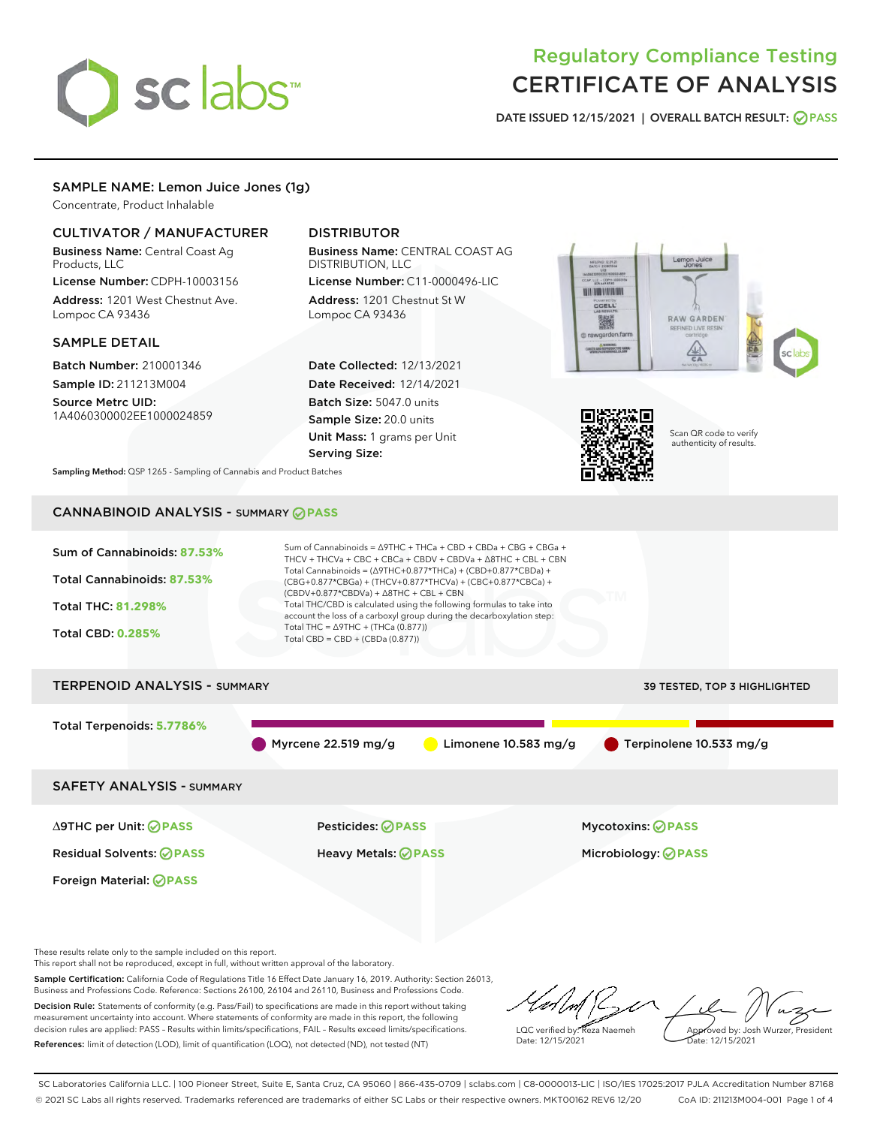# sclabs<sup>\*</sup>

# Regulatory Compliance Testing CERTIFICATE OF ANALYSIS

DATE ISSUED 12/15/2021 | OVERALL BATCH RESULT: @ PASS

# SAMPLE NAME: Lemon Juice Jones (1g)

Concentrate, Product Inhalable

## CULTIVATOR / MANUFACTURER

Business Name: Central Coast Ag Products, LLC

License Number: CDPH-10003156 Address: 1201 West Chestnut Ave. Lompoc CA 93436

### SAMPLE DETAIL

Batch Number: 210001346 Sample ID: 211213M004

Source Metrc UID: 1A4060300002EE1000024859

# DISTRIBUTOR

Business Name: CENTRAL COAST AG DISTRIBUTION, LLC

License Number: C11-0000496-LIC Address: 1201 Chestnut St W Lompoc CA 93436

Date Collected: 12/13/2021 Date Received: 12/14/2021 Batch Size: 5047.0 units Sample Size: 20.0 units Unit Mass: 1 grams per Unit Serving Size:





Scan QR code to verify authenticity of results.

Sampling Method: QSP 1265 - Sampling of Cannabis and Product Batches

# CANNABINOID ANALYSIS - SUMMARY **PASS**

| Sum of Cannabinoids: 87.53%<br>Total Cannabinoids: 87.53%<br><b>Total THC: 81.298%</b><br><b>Total CBD: 0.285%</b> | Sum of Cannabinoids = $\triangle$ 9THC + THCa + CBD + CBDa + CBG + CBGa +<br>THCV + THCVa + CBC + CBCa + CBDV + CBDVa + $\Delta$ 8THC + CBL + CBN<br>Total Cannabinoids = $(\Delta$ 9THC+0.877*THCa) + (CBD+0.877*CBDa) +<br>(CBG+0.877*CBGa) + (THCV+0.877*THCVa) + (CBC+0.877*CBCa) +<br>$(CBDV+0.877*CBDVa) + \Delta 8THC + CBL + CBN$<br>Total THC/CBD is calculated using the following formulas to take into<br>account the loss of a carboxyl group during the decarboxylation step:<br>Total THC = $\triangle$ 9THC + (THCa (0.877))<br>Total CBD = CBD + (CBDa (0.877)) |                              |
|--------------------------------------------------------------------------------------------------------------------|----------------------------------------------------------------------------------------------------------------------------------------------------------------------------------------------------------------------------------------------------------------------------------------------------------------------------------------------------------------------------------------------------------------------------------------------------------------------------------------------------------------------------------------------------------------------------------|------------------------------|
| <b>TERPENOID ANALYSIS - SUMMARY</b>                                                                                |                                                                                                                                                                                                                                                                                                                                                                                                                                                                                                                                                                                  | 39 TESTED, TOP 3 HIGHLIGHTED |
| Total Terpenoids: 5.7786%                                                                                          | Myrcene $22.519$ mg/g<br>Limonene $10.583$ mg/g                                                                                                                                                                                                                                                                                                                                                                                                                                                                                                                                  | Terpinolene 10.533 mg/g      |
| <b>SAFETY ANALYSIS - SUMMARY</b>                                                                                   |                                                                                                                                                                                                                                                                                                                                                                                                                                                                                                                                                                                  |                              |
| ∆9THC per Unit: ⊘PASS                                                                                              | Pesticides: ⊘PASS                                                                                                                                                                                                                                                                                                                                                                                                                                                                                                                                                                | <b>Mycotoxins: ⊘PASS</b>     |
| <b>Residual Solvents: ⊘PASS</b>                                                                                    | Heavy Metals: <b>OPASS</b>                                                                                                                                                                                                                                                                                                                                                                                                                                                                                                                                                       | Microbiology: <b>⊘PASS</b>   |
| Foreign Material: <b>⊘ PASS</b>                                                                                    |                                                                                                                                                                                                                                                                                                                                                                                                                                                                                                                                                                                  |                              |

These results relate only to the sample included on this report.

This report shall not be reproduced, except in full, without written approval of the laboratory.

Sample Certification: California Code of Regulations Title 16 Effect Date January 16, 2019. Authority: Section 26013, Business and Professions Code. Reference: Sections 26100, 26104 and 26110, Business and Professions Code. Decision Rule: Statements of conformity (e.g. Pass/Fail) to specifications are made in this report without taking measurement uncertainty into account. Where statements of conformity are made in this report, the following

decision rules are applied: PASS – Results within limits/specifications, FAIL – Results exceed limits/specifications. References: limit of detection (LOD), limit of quantification (LOQ), not detected (ND), not tested (NT)

 $\mathbb{Z}$ Approved by: Josh Wurzer, President LQC verified by: Reza Naemeh Date: 12/15/2021 Date: 12/15/2021

SC Laboratories California LLC. | 100 Pioneer Street, Suite E, Santa Cruz, CA 95060 | 866-435-0709 | sclabs.com | C8-0000013-LIC | ISO/IES 17025:2017 PJLA Accreditation Number 87168 © 2021 SC Labs all rights reserved. Trademarks referenced are trademarks of either SC Labs or their respective owners. MKT00162 REV6 12/20 CoA ID: 211213M004-001 Page 1 of 4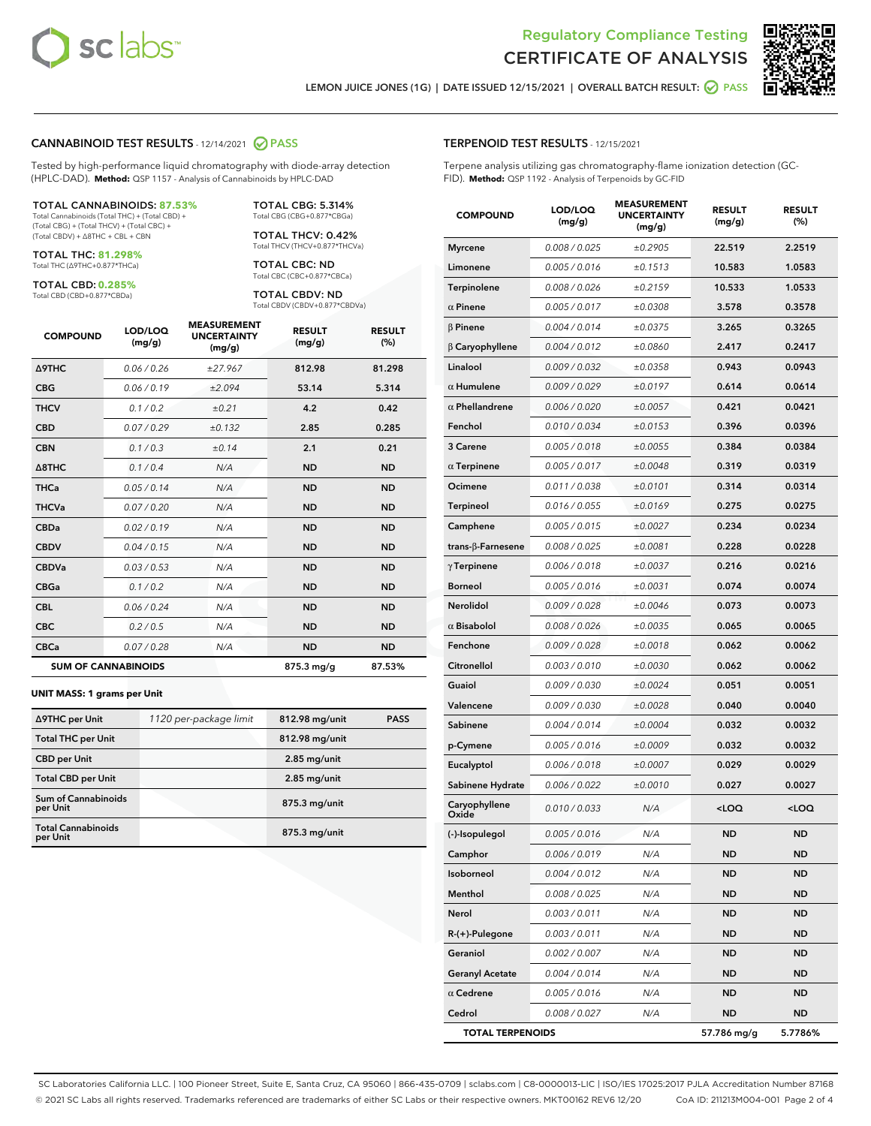

Terpene analysis utilizing gas chromatography-flame ionization detection (GC-



LEMON JUICE JONES (1G) | DATE ISSUED 12/15/2021 | OVERALL BATCH RESULT: 2 PASS

TERPENOID TEST RESULTS - 12/15/2021

FID). **Method:** QSP 1192 - Analysis of Terpenoids by GC-FID

### CANNABINOID TEST RESULTS - 12/14/2021 2 PASS

Tested by high-performance liquid chromatography with diode-array detection (HPLC-DAD). **Method:** QSP 1157 - Analysis of Cannabinoids by HPLC-DAD

### TOTAL CANNABINOIDS: **87.53%**

Total Cannabinoids (Total THC) + (Total CBD) + (Total CBG) + (Total THCV) + (Total CBC) + (Total CBDV) + ∆8THC + CBL + CBN

TOTAL THC: **81.298%** Total THC (∆9THC+0.877\*THCa)

TOTAL CBD: **0.285%**

Total CBD (CBD+0.877\*CBDa)

TOTAL CBG: 5.314% Total CBG (CBG+0.877\*CBGa)

TOTAL THCV: 0.42% Total THCV (THCV+0.877\*THCVa)

TOTAL CBC: ND Total CBC (CBC+0.877\*CBCa)

TOTAL CBDV: ND Total CBDV (CBDV+0.877\*CBDVa)

| <b>COMPOUND</b>            | LOD/LOQ<br>(mg/g) | <b>MEASUREMENT</b><br><b>UNCERTAINTY</b><br>(mg/g) | <b>RESULT</b><br>(mg/g) | <b>RESULT</b><br>(%) |
|----------------------------|-------------------|----------------------------------------------------|-------------------------|----------------------|
| <b>A9THC</b>               | 0.06 / 0.26       | ±27.967                                            | 812.98                  | 81.298               |
| <b>CBG</b>                 | 0.06 / 0.19       | ±2.094                                             | 53.14                   | 5.314                |
| <b>THCV</b>                | 0.1 / 0.2         | ±0.21                                              | 4.2                     | 0.42                 |
| <b>CBD</b>                 | 0.07/0.29         | ±0.132                                             | 2.85                    | 0.285                |
| <b>CBN</b>                 | 0.1 / 0.3         | ±0.14                                              | 2.1                     | 0.21                 |
| $\triangle$ 8THC           | 0.1/0.4           | N/A                                                | <b>ND</b>               | <b>ND</b>            |
| <b>THCa</b>                | 0.05/0.14         | N/A                                                | <b>ND</b>               | <b>ND</b>            |
| <b>THCVa</b>               | 0.07/0.20         | N/A                                                | <b>ND</b>               | <b>ND</b>            |
| <b>CBDa</b>                | 0.02/0.19         | N/A                                                | <b>ND</b>               | <b>ND</b>            |
| <b>CBDV</b>                | 0.04 / 0.15       | N/A                                                | <b>ND</b>               | <b>ND</b>            |
| <b>CBDVa</b>               | 0.03/0.53         | N/A                                                | <b>ND</b>               | <b>ND</b>            |
| <b>CBGa</b>                | 0.1/0.2           | N/A                                                | <b>ND</b>               | <b>ND</b>            |
| <b>CBL</b>                 | 0.06 / 0.24       | N/A                                                | <b>ND</b>               | <b>ND</b>            |
| <b>CBC</b>                 | 0.2 / 0.5         | N/A                                                | <b>ND</b>               | <b>ND</b>            |
| <b>CBCa</b>                | 0.07 / 0.28       | N/A                                                | <b>ND</b>               | <b>ND</b>            |
| <b>SUM OF CANNABINOIDS</b> |                   |                                                    | $875.3$ mg/g            | 87.53%               |

### **UNIT MASS: 1 grams per Unit**

| ∆9THC per Unit                         | 1120 per-package limit | 812.98 mg/unit  | <b>PASS</b> |
|----------------------------------------|------------------------|-----------------|-------------|
| <b>Total THC per Unit</b>              |                        | 812.98 mg/unit  |             |
| <b>CBD per Unit</b>                    |                        | $2.85$ mg/unit  |             |
| <b>Total CBD per Unit</b>              |                        | $2.85$ mg/unit  |             |
| <b>Sum of Cannabinoids</b><br>per Unit |                        | 875.3 mg/unit   |             |
| <b>Total Cannabinoids</b><br>per Unit  |                        | $875.3$ mg/unit |             |

| <b>COMPOUND</b>          | LOD/LOQ<br>(mg/g) | <b>MEASUREMENT</b><br><b>UNCERTAINTY</b><br>(mg/g) | <b>RESULT</b><br>(mg/g) | <b>RESULT</b><br>(%) |
|--------------------------|-------------------|----------------------------------------------------|-------------------------|----------------------|
| <b>Myrcene</b>           | 0.008 / 0.025     | ±0.2905                                            | 22.519                  | 2.2519               |
| Limonene                 | 0.005 / 0.016     | ±0.1513                                            | 10.583                  | 1.0583               |
| Terpinolene              | 0.008 / 0.026     | ±0.2159                                            | 10.533                  | 1.0533               |
| $\alpha$ Pinene          | 0.005 / 0.017     | ±0.0308                                            | 3.578                   | 0.3578               |
| $\beta$ Pinene           | 0.004 / 0.014     | ±0.0375                                            | 3.265                   | 0.3265               |
| $\beta$ Caryophyllene    | 0.004 / 0.012     | ±0.0860                                            | 2.417                   | 0.2417               |
| Linalool                 | 0.009 / 0.032     | ±0.0358                                            | 0.943                   | 0.0943               |
| $\alpha$ Humulene        | 0.009/0.029       | ±0.0197                                            | 0.614                   | 0.0614               |
| $\alpha$ Phellandrene    | 0.006 / 0.020     | ±0.0057                                            | 0.421                   | 0.0421               |
| Fenchol                  | 0.010 / 0.034     | ±0.0153                                            | 0.396                   | 0.0396               |
| 3 Carene                 | 0.005 / 0.018     | ±0.0055                                            | 0.384                   | 0.0384               |
| $\alpha$ Terpinene       | 0.005 / 0.017     | ±0.0048                                            | 0.319                   | 0.0319               |
| Ocimene                  | 0.011 / 0.038     | ±0.0101                                            | 0.314                   | 0.0314               |
| Terpineol                | 0.016 / 0.055     | ±0.0169                                            | 0.275                   | 0.0275               |
| Camphene                 | 0.005 / 0.015     | ±0.0027                                            | 0.234                   | 0.0234               |
| $trans-\beta$ -Farnesene | 0.008 / 0.025     | ±0.0081                                            | 0.228                   | 0.0228               |
| $\gamma$ Terpinene       | 0.006 / 0.018     | ±0.0037                                            | 0.216                   | 0.0216               |
| <b>Borneol</b>           | 0.005 / 0.016     | ±0.0031                                            | 0.074                   | 0.0074               |
| Nerolidol                | 0.009 / 0.028     | ±0.0046                                            | 0.073                   | 0.0073               |
| $\alpha$ Bisabolol       | 0.008 / 0.026     | ±0.0035                                            | 0.065                   | 0.0065               |
| Fenchone                 | 0.009 / 0.028     | ±0.0018                                            | 0.062                   | 0.0062               |
| Citronellol              | 0.003 / 0.010     | ±0.0030                                            | 0.062                   | 0.0062               |
| Guaiol                   | 0.009 / 0.030     | ±0.0024                                            | 0.051                   | 0.0051               |
| Valencene                | 0.009 / 0.030     | ±0.0028                                            | 0.040                   | 0.0040               |
| Sabinene                 | 0.004 / 0.014     | ±0.0004                                            | 0.032                   | 0.0032               |
| p-Cymene                 | 0.005 / 0.016     | ±0.0009                                            | 0.032                   | 0.0032               |
| Eucalyptol               | 0.006 / 0.018     | ±0.0007                                            | 0.029                   | 0.0029               |
| Sabinene Hydrate         | 0.006 / 0.022     | ±0.0010                                            | 0.027                   | 0.0027               |
| Caryophyllene<br>Oxide   | 0.010 / 0.033     | N/A                                                | $<$ LOQ                 | 100                  |
| (-)-Isopulegol           | 0.005 / 0.016     | N/A                                                | ND                      | <b>ND</b>            |
| Camphor                  | 0.006 / 0.019     | N/A                                                | ND                      | ND                   |
| Isoborneol               | 0.004 / 0.012     | N/A                                                | ND                      | ND                   |
| Menthol                  | 0.008 / 0.025     | N/A                                                | <b>ND</b>               | ND                   |
| Nerol                    | 0.003 / 0.011     | N/A                                                | ND                      | ND                   |
| R-(+)-Pulegone           | 0.003 / 0.011     | N/A                                                | ND                      | ND                   |
| Geraniol                 | 0.002 / 0.007     | N/A                                                | <b>ND</b>               | ND                   |
| <b>Geranyl Acetate</b>   | 0.004 / 0.014     | N/A                                                | <b>ND</b>               | ND                   |
| $\alpha$ Cedrene         | 0.005 / 0.016     | N/A                                                | ND                      | ND                   |
| Cedrol                   | 0.008 / 0.027     | N/A                                                | <b>ND</b>               | ND                   |
| <b>TOTAL TERPENOIDS</b>  |                   |                                                    | 57.786 mg/g             | 5.7786%              |

SC Laboratories California LLC. | 100 Pioneer Street, Suite E, Santa Cruz, CA 95060 | 866-435-0709 | sclabs.com | C8-0000013-LIC | ISO/IES 17025:2017 PJLA Accreditation Number 87168 © 2021 SC Labs all rights reserved. Trademarks referenced are trademarks of either SC Labs or their respective owners. MKT00162 REV6 12/20 CoA ID: 211213M004-001 Page 2 of 4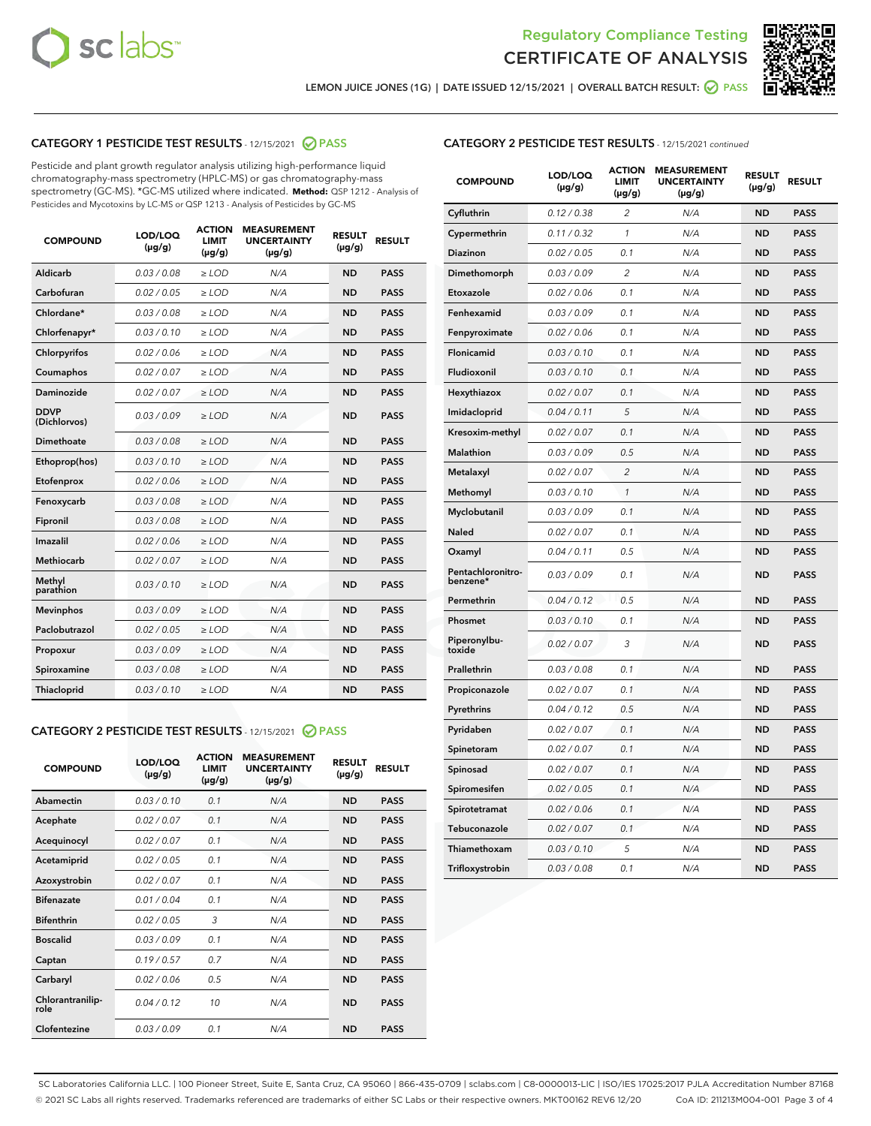



LEMON JUICE JONES (1G) | DATE ISSUED 12/15/2021 | OVERALL BATCH RESULT: @ PASS

# CATEGORY 1 PESTICIDE TEST RESULTS - 12/15/2021 2 PASS

Pesticide and plant growth regulator analysis utilizing high-performance liquid chromatography-mass spectrometry (HPLC-MS) or gas chromatography-mass spectrometry (GC-MS). \*GC-MS utilized where indicated. **Method:** QSP 1212 - Analysis of Pesticides and Mycotoxins by LC-MS or QSP 1213 - Analysis of Pesticides by GC-MS

| <b>COMPOUND</b>             | LOD/LOQ<br>$(\mu g/g)$ | <b>ACTION</b><br><b>LIMIT</b><br>$(\mu g/g)$ | <b>MEASUREMENT</b><br><b>UNCERTAINTY</b><br>$(\mu g/g)$ | <b>RESULT</b><br>$(\mu g/g)$ | <b>RESULT</b> |
|-----------------------------|------------------------|----------------------------------------------|---------------------------------------------------------|------------------------------|---------------|
| Aldicarb                    | 0.03 / 0.08            | $\geq$ LOD                                   | N/A                                                     | <b>ND</b>                    | <b>PASS</b>   |
| Carbofuran                  | 0.02/0.05              | $\ge$ LOD                                    | N/A                                                     | <b>ND</b>                    | <b>PASS</b>   |
| Chlordane*                  | 0.03 / 0.08            | $\ge$ LOD                                    | N/A                                                     | <b>ND</b>                    | <b>PASS</b>   |
| Chlorfenapyr*               | 0.03/0.10              | $\ge$ LOD                                    | N/A                                                     | <b>ND</b>                    | <b>PASS</b>   |
| Chlorpyrifos                | 0.02 / 0.06            | $\ge$ LOD                                    | N/A                                                     | <b>ND</b>                    | <b>PASS</b>   |
| Coumaphos                   | 0.02 / 0.07            | $\ge$ LOD                                    | N/A                                                     | <b>ND</b>                    | <b>PASS</b>   |
| Daminozide                  | 0.02 / 0.07            | $\ge$ LOD                                    | N/A                                                     | <b>ND</b>                    | <b>PASS</b>   |
| <b>DDVP</b><br>(Dichlorvos) | 0.03/0.09              | $\ge$ LOD                                    | N/A                                                     | <b>ND</b>                    | <b>PASS</b>   |
| Dimethoate                  | 0.03/0.08              | $\ge$ LOD                                    | N/A                                                     | <b>ND</b>                    | <b>PASS</b>   |
| Ethoprop(hos)               | 0.03/0.10              | $\ge$ LOD                                    | N/A                                                     | <b>ND</b>                    | <b>PASS</b>   |
| Etofenprox                  | 0.02/0.06              | $\ge$ LOD                                    | N/A                                                     | <b>ND</b>                    | <b>PASS</b>   |
| Fenoxycarb                  | 0.03/0.08              | $\ge$ LOD                                    | N/A                                                     | <b>ND</b>                    | <b>PASS</b>   |
| Fipronil                    | 0.03/0.08              | $\ge$ LOD                                    | N/A                                                     | <b>ND</b>                    | <b>PASS</b>   |
| Imazalil                    | 0.02 / 0.06            | $\ge$ LOD                                    | N/A                                                     | <b>ND</b>                    | <b>PASS</b>   |
| <b>Methiocarb</b>           | 0.02 / 0.07            | $\ge$ LOD                                    | N/A                                                     | <b>ND</b>                    | <b>PASS</b>   |
| Methyl<br>parathion         | 0.03/0.10              | $\ge$ LOD                                    | N/A                                                     | <b>ND</b>                    | <b>PASS</b>   |
| <b>Mevinphos</b>            | 0.03/0.09              | $\ge$ LOD                                    | N/A                                                     | <b>ND</b>                    | <b>PASS</b>   |
| Paclobutrazol               | 0.02 / 0.05            | $\ge$ LOD                                    | N/A                                                     | <b>ND</b>                    | <b>PASS</b>   |
| Propoxur                    | 0.03/0.09              | $\ge$ LOD                                    | N/A                                                     | <b>ND</b>                    | <b>PASS</b>   |
| Spiroxamine                 | 0.03/0.08              | $\ge$ LOD                                    | N/A                                                     | <b>ND</b>                    | <b>PASS</b>   |
| <b>Thiacloprid</b>          | 0.03/0.10              | $\ge$ LOD                                    | N/A                                                     | <b>ND</b>                    | <b>PASS</b>   |
|                             |                        |                                              |                                                         |                              |               |

# CATEGORY 2 PESTICIDE TEST RESULTS - 12/15/2021 @ PASS

| <b>COMPOUND</b>          | LOD/LOO<br>$(\mu g/g)$ | <b>ACTION</b><br><b>LIMIT</b><br>$(\mu g/g)$ | <b>MEASUREMENT</b><br><b>UNCERTAINTY</b><br>$(\mu g/g)$ | <b>RESULT</b><br>$(\mu g/g)$ | <b>RESULT</b> |
|--------------------------|------------------------|----------------------------------------------|---------------------------------------------------------|------------------------------|---------------|
| Abamectin                | 0.03/0.10              | 0.1                                          | N/A                                                     | <b>ND</b>                    | <b>PASS</b>   |
| Acephate                 | 0.02/0.07              | 0.1                                          | N/A                                                     | <b>ND</b>                    | <b>PASS</b>   |
| Acequinocyl              | 0.02/0.07              | 0.1                                          | N/A                                                     | <b>ND</b>                    | <b>PASS</b>   |
| Acetamiprid              | 0.02/0.05              | 0.1                                          | N/A                                                     | <b>ND</b>                    | <b>PASS</b>   |
| Azoxystrobin             | 0.02/0.07              | 0.1                                          | N/A                                                     | <b>ND</b>                    | <b>PASS</b>   |
| <b>Bifenazate</b>        | 0.01/0.04              | 0.1                                          | N/A                                                     | <b>ND</b>                    | <b>PASS</b>   |
| <b>Bifenthrin</b>        | 0.02/0.05              | 3                                            | N/A                                                     | <b>ND</b>                    | <b>PASS</b>   |
| <b>Boscalid</b>          | 0.03/0.09              | 0.1                                          | N/A                                                     | <b>ND</b>                    | <b>PASS</b>   |
| Captan                   | 0.19/0.57              | 0.7                                          | N/A                                                     | <b>ND</b>                    | <b>PASS</b>   |
| Carbaryl                 | 0.02/0.06              | 0.5                                          | N/A                                                     | <b>ND</b>                    | <b>PASS</b>   |
| Chlorantranilip-<br>role | 0.04/0.12              | 10                                           | N/A                                                     | <b>ND</b>                    | <b>PASS</b>   |
| Clofentezine             | 0.03/0.09              | 0.1                                          | N/A                                                     | <b>ND</b>                    | <b>PASS</b>   |

| <b>COMPOUND</b>               | LOD/LOQ<br>(µg/g) | <b>ACTION</b><br>LIMIT<br>$(\mu g/g)$ | <b>MEASUREMENT</b><br><b>UNCERTAINTY</b><br>$(\mu g/g)$ | <b>RESULT</b><br>(µg/g) | <b>RESULT</b> |
|-------------------------------|-------------------|---------------------------------------|---------------------------------------------------------|-------------------------|---------------|
| Cyfluthrin                    | 0.12 / 0.38       | 2                                     | N/A                                                     | <b>ND</b>               | <b>PASS</b>   |
| Cypermethrin                  | 0.11 / 0.32       | 1                                     | N/A                                                     | <b>ND</b>               | <b>PASS</b>   |
| Diazinon                      | 0.02 / 0.05       | 0.1                                   | N/A                                                     | ND                      | <b>PASS</b>   |
| Dimethomorph                  | 0.03 / 0.09       | 2                                     | N/A                                                     | <b>ND</b>               | <b>PASS</b>   |
| Etoxazole                     | 0.02 / 0.06       | 0.1                                   | N/A                                                     | ND                      | <b>PASS</b>   |
| Fenhexamid                    | 0.03 / 0.09       | 0.1                                   | N/A                                                     | <b>ND</b>               | <b>PASS</b>   |
| Fenpyroximate                 | 0.02 / 0.06       | 0.1                                   | N/A                                                     | <b>ND</b>               | <b>PASS</b>   |
| Flonicamid                    | 0.03 / 0.10       | 0.1                                   | N/A                                                     | <b>ND</b>               | <b>PASS</b>   |
| Fludioxonil                   | 0.03 / 0.10       | 0.1                                   | N/A                                                     | <b>ND</b>               | <b>PASS</b>   |
| Hexythiazox                   | 0.02 / 0.07       | 0.1                                   | N/A                                                     | <b>ND</b>               | <b>PASS</b>   |
| Imidacloprid                  | 0.04 / 0.11       | 5                                     | N/A                                                     | <b>ND</b>               | <b>PASS</b>   |
| Kresoxim-methyl               | 0.02 / 0.07       | 0.1                                   | N/A                                                     | <b>ND</b>               | <b>PASS</b>   |
| Malathion                     | 0.03 / 0.09       | 0.5                                   | N/A                                                     | <b>ND</b>               | <b>PASS</b>   |
| Metalaxyl                     | 0.02 / 0.07       | $\overline{c}$                        | N/A                                                     | ND                      | <b>PASS</b>   |
| Methomyl                      | 0.03 / 0.10       | $\mathcal{I}$                         | N/A                                                     | ND                      | <b>PASS</b>   |
| Myclobutanil                  | 0.03 / 0.09       | 0.1                                   | N/A                                                     | <b>ND</b>               | <b>PASS</b>   |
| <b>Naled</b>                  | 0.02 / 0.07       | 0.1                                   | N/A                                                     | <b>ND</b>               | <b>PASS</b>   |
| Oxamyl                        | 0.04 / 0.11       | 0.5                                   | N/A                                                     | <b>ND</b>               | <b>PASS</b>   |
| Pentachloronitro-<br>benzene* | 0.03/0.09         | 0.1                                   | N/A                                                     | <b>ND</b>               | <b>PASS</b>   |
| Permethrin                    | 0.04 / 0.12       | 0.5                                   | N/A                                                     | ND                      | <b>PASS</b>   |
| Phosmet                       | 0.03 / 0.10       | 0.1                                   | N/A                                                     | <b>ND</b>               | <b>PASS</b>   |
| Piperonylbu-<br>toxide        | 0.02 / 0.07       | 3                                     | N/A                                                     | <b>ND</b>               | <b>PASS</b>   |
| Prallethrin                   | 0.03 / 0.08       | 0.1                                   | N/A                                                     | <b>ND</b>               | <b>PASS</b>   |
| Propiconazole                 | 0.02 / 0.07       | 0.1                                   | N/A                                                     | <b>ND</b>               | <b>PASS</b>   |
| Pyrethrins                    | 0.04 / 0.12       | 0.5                                   | N/A                                                     | <b>ND</b>               | <b>PASS</b>   |
| Pyridaben                     | 0.02 / 0.07       | 0.1                                   | N/A                                                     | ND                      | <b>PASS</b>   |
| Spinetoram                    | 0.02 / 0.07       | 0.1                                   | N/A                                                     | <b>ND</b>               | <b>PASS</b>   |
| Spinosad                      | 0.02 / 0.07       | 0.1                                   | N/A                                                     | ND                      | <b>PASS</b>   |
| Spiromesifen                  | 0.02 / 0.05       | 0.1                                   | N/A                                                     | <b>ND</b>               | <b>PASS</b>   |
| Spirotetramat                 | 0.02 / 0.06       | 0.1                                   | N/A                                                     | <b>ND</b>               | <b>PASS</b>   |
| Tebuconazole                  | 0.02 / 0.07       | 0.1                                   | N/A                                                     | <b>ND</b>               | <b>PASS</b>   |
| Thiamethoxam                  | 0.03 / 0.10       | 5                                     | N/A                                                     | ND                      | <b>PASS</b>   |
| Trifloxystrobin               | 0.03 / 0.08       | 0.1                                   | N/A                                                     | ND                      | <b>PASS</b>   |

SC Laboratories California LLC. | 100 Pioneer Street, Suite E, Santa Cruz, CA 95060 | 866-435-0709 | sclabs.com | C8-0000013-LIC | ISO/IES 17025:2017 PJLA Accreditation Number 87168 © 2021 SC Labs all rights reserved. Trademarks referenced are trademarks of either SC Labs or their respective owners. MKT00162 REV6 12/20 CoA ID: 211213M004-001 Page 3 of 4